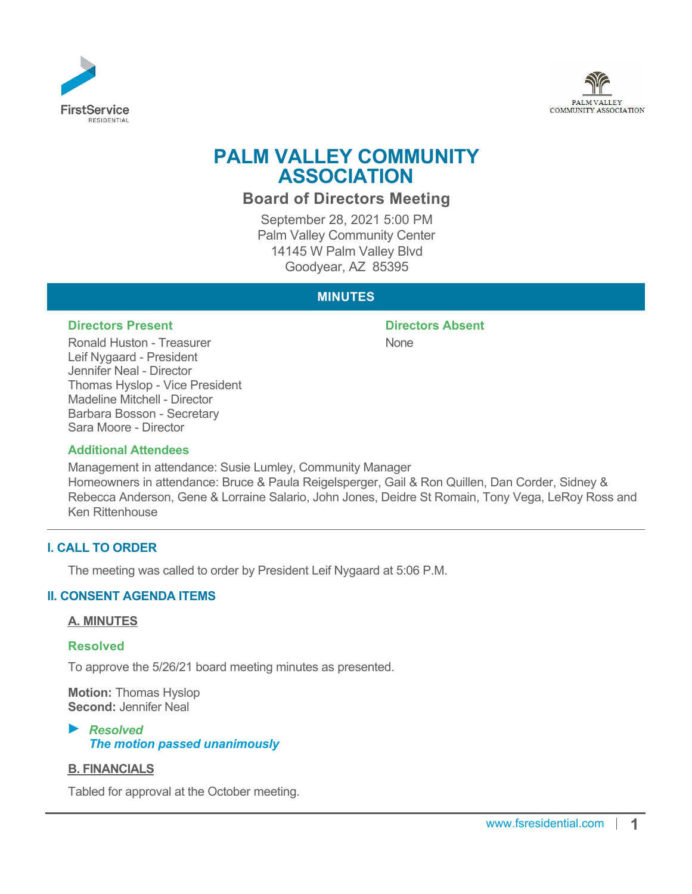



# **PALM VALLEY COMMUNITY ASSOCIATION**

## **Board of Directors Meeting**

September 28, 2021 5:00 PM Palm Valley Community Center 14145 W Palm Valley Blvd Goodyear, AZ 85395

## **MINUTES**

#### **Directors Present Directors Absent**

Ronald Huston - Treasurer Leif Nygaard - President Jennifer Neal - Director Thomas Hyslop - Vice President Madeline Mitchell - Director Barbara Bosson - Secretary Sara Moore - Director

None

#### **Additional Attendees**

Management in attendance: Susie Lumley, Community Manager Homeowners in attendance: Bruce & Paula Reigelsperger, Gail & Ron Quillen, Dan Corder, Sidney & Rebecca Anderson, Gene & Lorraine Salario, John Jones, Deidre St Romain, Tony Vega, LeRoy Ross and Ken Rittenhouse

## **I. CALL TO ORDER**

The meeting was called to order by President Leif Nygaard at 5:06 P.M.

## **II. CONSENT AGENDA ITEMS**

#### **A. MINUTES**

#### **Resolved**

To approve the 5/26/21 board meeting minutes as presented.

**Motion:** Thomas Hyslop **Second:** Jennifer Neal

## *Resolved The motion passed unanimously*

#### **B. FINANCIALS**

Tabled for approval at the October meeting.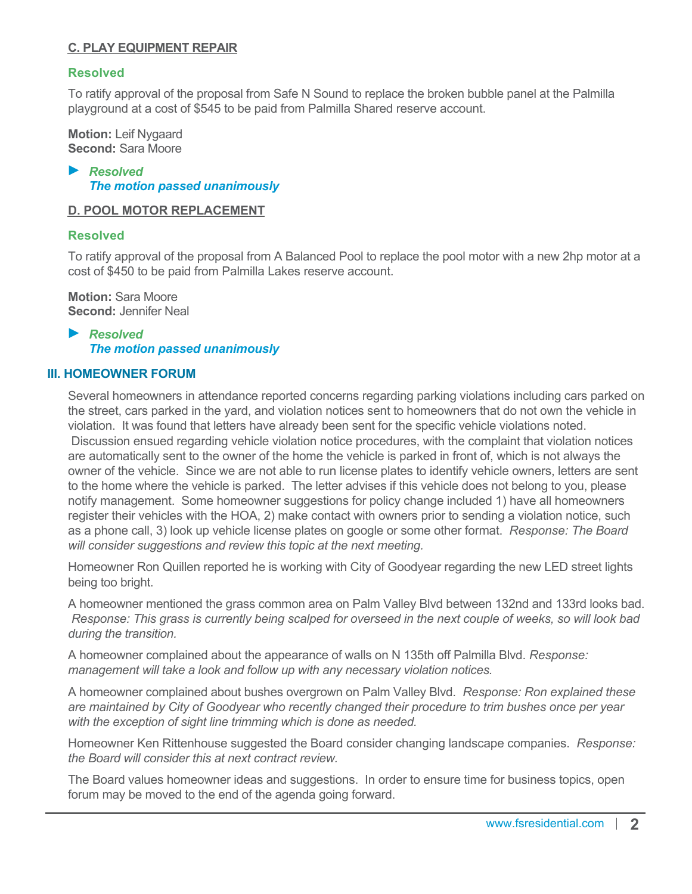## **C. PLAY EQUIPMENT REPAIR**

#### **Resolved**

To ratify approval of the proposal from Safe N Sound to replace the broken bubble panel at the Palmilla playground at a cost of \$545 to be paid from Palmilla Shared reserve account.

**Motion:** Leif Nygaard **Second:** Sara Moore

*Resolved The motion passed unanimously*

#### **D. POOL MOTOR REPLACEMENT**

#### **Resolved**

To ratify approval of the proposal from A Balanced Pool to replace the pool motor with a new 2hp motor at a cost of \$450 to be paid from Palmilla Lakes reserve account.

**Motion:** Sara Moore **Second:** Jennifer Neal

*Resolved The motion passed unanimously*

#### **III. HOMEOWNER FORUM**

Several homeowners in attendance reported concerns regarding parking violations including cars parked on the street, cars parked in the yard, and violation notices sent to homeowners that do not own the vehicle in violation. It was found that letters have already been sent for the specific vehicle violations noted. Discussion ensued regarding vehicle violation notice procedures, with the complaint that violation notices are automatically sent to the owner of the home the vehicle is parked in front of, which is not always the owner of the vehicle. Since we are not able to run license plates to identify vehicle owners, letters are sent to the home where the vehicle is parked. The letter advises if this vehicle does not belong to you, please notify management. Some homeowner suggestions for policy change included 1) have all homeowners register their vehicles with the HOA, 2) make contact with owners prior to sending a violation notice, such as a phone call, 3) look up vehicle license plates on google or some other format. *Response: The Board will consider suggestions and review this topic at the next meeting.*

Homeowner Ron Quillen reported he is working with City of Goodyear regarding the new LED street lights being too bright.

A homeowner mentioned the grass common area on Palm Valley Blvd between 132nd and 133rd looks bad. *Response: This grass is currently being scalped for overseed in the next couple of weeks, so will look bad during the transition.*

A homeowner complained about the appearance of walls on N 135th off Palmilla Blvd. *Response: management will take a look and follow up with any necessary violation notices.*

A homeowner complained about bushes overgrown on Palm Valley Blvd. *Response: Ron explained these are maintained by City of Goodyear who recently changed their procedure to trim bushes once per year with the exception of sight line trimming which is done as needed.*

Homeowner Ken Rittenhouse suggested the Board consider changing landscape companies. *Response: the Board will consider this at next contract review.*

The Board values homeowner ideas and suggestions. In order to ensure time for business topics, open forum may be moved to the end of the agenda going forward.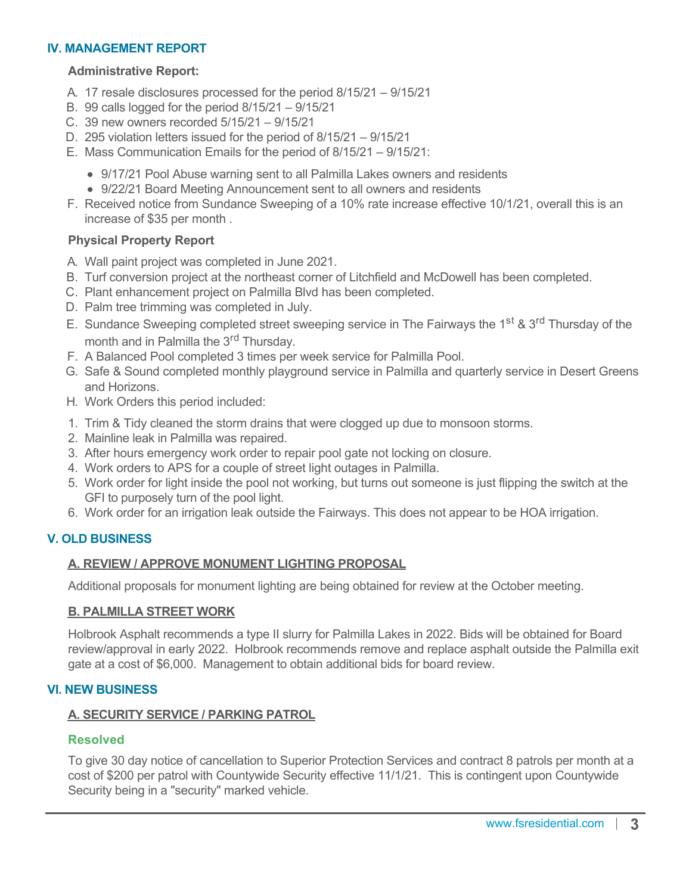#### **IV. MANAGEMENT REPORT**

#### **Administrative Report:**

- A. 17 resale disclosures processed for the period 8/15/21 9/15/21
- B. 99 calls logged for the period 8/15/21 9/15/21
- C. 39 new owners recorded 5/15/21 9/15/21
- D. 295 violation letters issued for the period of 8/15/21 9/15/21
- E. Mass Communication Emails for the period of 8/15/21 9/15/21:
	- 9/17/21 Pool Abuse warning sent to all Palmilla Lakes owners and residents
	- 9/22/21 Board Meeting Announcement sent to all owners and residents
- F. Received notice from Sundance Sweeping of a 10% rate increase effective 10/1/21, overall this is an increase of \$35 per month .

#### **Physical Property Report**

- A. Wall paint project was completed in June 2021.
- B. Turf conversion project at the northeast corner of Litchfield and McDowell has been completed.
- C. Plant enhancement project on Palmilla Blvd has been completed.
- D. Palm tree trimming was completed in July.
- E. Sundance Sweeping completed street sweeping service in The Fairways the 1<sup>st</sup> & 3<sup>rd</sup> Thursday of the month and in Palmilla the 3<sup>rd</sup> Thursday.
- F. A Balanced Pool completed 3 times per week service for Palmilla Pool.
- G. Safe & Sound completed monthly playground service in Palmilla and quarterly service in Desert Greens and Horizons.
- H. Work Orders this period included:
- 1. Trim & Tidy cleaned the storm drains that were clogged up due to monsoon storms.
- 2. Mainline leak in Palmilla was repaired.
- 3. After hours emergency work order to repair pool gate not locking on closure.
- 4. Work orders to APS for a couple of street light outages in Palmilla.
- 5. Work order for light inside the pool not working, but turns out someone is just flipping the switch at the GFI to purposely turn of the pool light.
- 6. Work order for an irrigation leak outside the Fairways. This does not appear to be HOA irrigation.

## **V. OLD BUSINESS**

#### **A. REVIEW / APPROVE MONUMENT LIGHTING PROPOSAL**

Additional proposals for monument lighting are being obtained for review at the October meeting.

#### **B. PALMILLA STREET WORK**

Holbrook Asphalt recommends a type II slurry for Palmilla Lakes in 2022. Bids will be obtained for Board review/approval in early 2022. Holbrook recommends remove and replace asphalt outside the Palmilla exit gate at a cost of \$6,000. Management to obtain additional bids for board review.

## **VI. NEW BUSINESS**

#### **A. SECURITY SERVICE / PARKING PATROL**

#### **Resolved**

To give 30 day notice of cancellation to Superior Protection Services and contract 8 patrols per month at a cost of \$200 per patrol with Countywide Security effective 11/1/21. This is contingent upon Countywide Security being in a "security" marked vehicle.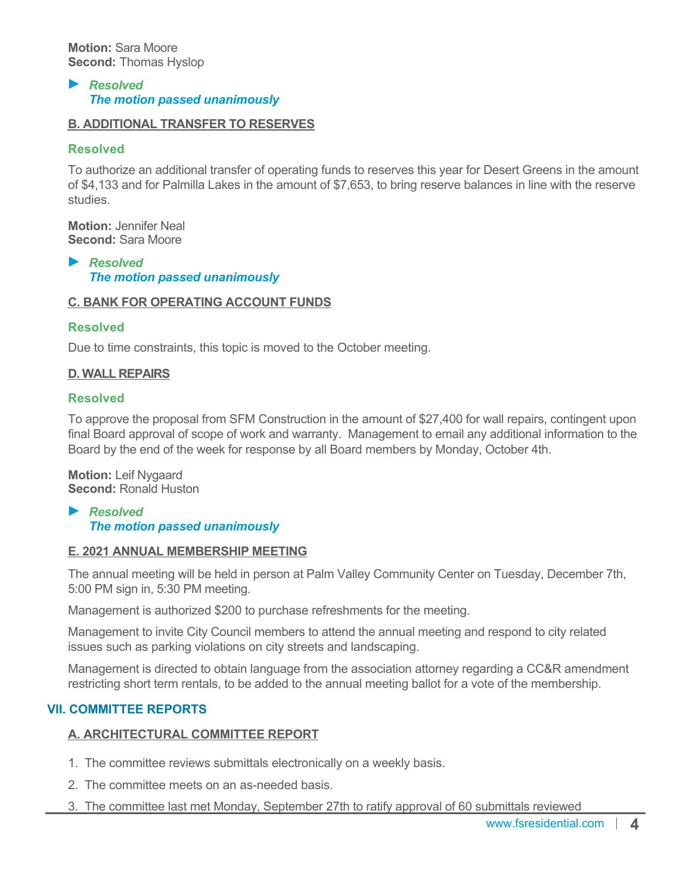#### *Resolved The motion passed unanimously*

## **B. ADDITIONAL TRANSFER TO RESERVES**

## **Resolved**

To authorize an additional transfer of operating funds to reserves this year for Desert Greens in the amount of \$4,133 and for Palmilla Lakes in the amount of \$7,653, to bring reserve balances in line with the reserve studies.

**Motion:** Jennifer Neal **Second:** Sara Moore

*Resolved The motion passed unanimously*

## **C. BANK FOR OPERATING ACCOUNT FUNDS**

## **Resolved**

Due to time constraints, this topic is moved to the October meeting.

## **D. WALL REPAIRS**

## **Resolved**

To approve the proposal from SFM Construction in the amount of \$27,400 for wall repairs, contingent upon final Board approval of scope of work and warranty. Management to email any additional information to the Board by the end of the week for response by all Board members by Monday, October 4th.

**Motion:** Leif Nygaard **Second:** Ronald Huston

#### *Resolved The motion passed unanimously*

## **E. 2021 ANNUAL MEMBERSHIP MEETING**

The annual meeting will be held in person at Palm Valley Community Center on Tuesday, December 7th, 5:00 PM sign in, 5:30 PM meeting.

Management is authorized \$200 to purchase refreshments for the meeting.

Management to invite City Council members to attend the annual meeting and respond to city related issues such as parking violations on city streets and landscaping.

Management is directed to obtain language from the association attorney regarding a CC&R amendment restricting short term rentals, to be added to the annual meeting ballot for a vote of the membership.

## **VII. COMMITTEE REPORTS**

## **A. ARCHITECTURAL COMMITTEE REPORT**

- 1. The committee reviews submittals electronically on a weekly basis.
- 2. The committee meets on an as-needed basis.
- 3. The committee last met Monday, September 27th to ratify approval of 60 submittals reviewed